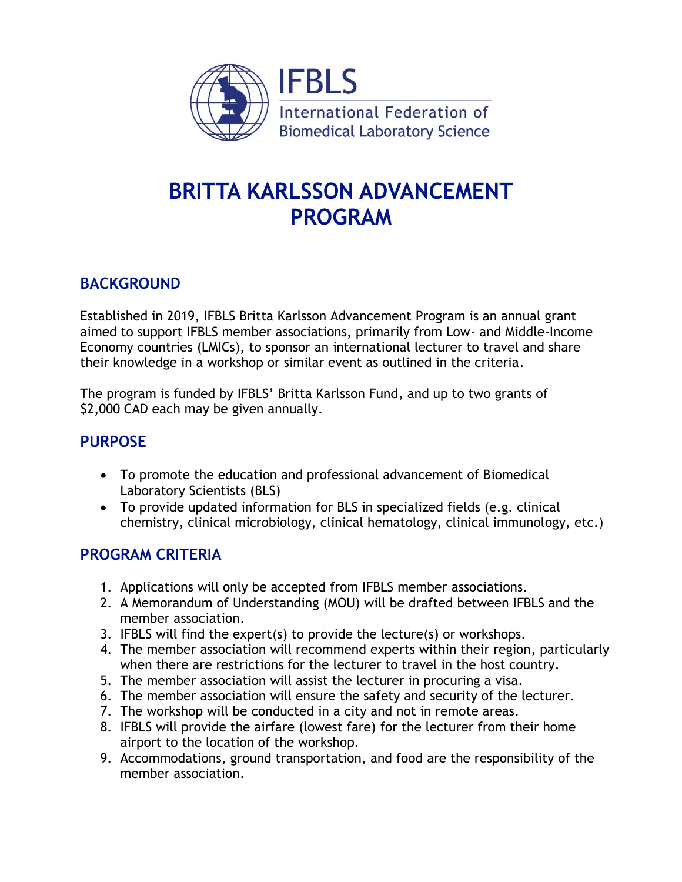

# **BRITTA KARLSSON ADVANCEMENT PROGRAM**

## **BACKGROUND**

Established in 2019, IFBLS Britta Karlsson Advancement Program is an annual grant aimed to support IFBLS member associations, primarily from Low- and Middle-Income Economy countries (LMICs), to sponsor an international lecturer to travel and share their knowledge in a workshop or similar event as outlined in the criteria.

The program is funded by IFBLS' Britta Karlsson Fund, and up to two grants of \$2,000 CAD each may be given annually.

## **PURPOSE**

- To promote the education and professional advancement of Biomedical Laboratory Scientists (BLS)
- To provide updated information for BLS in specialized fields (e.g. clinical chemistry, clinical microbiology, clinical hematology, clinical immunology, etc.)

## **PROGRAM CRITERIA**

- 1. Applications will only be accepted from IFBLS member associations.
- 2. A Memorandum of Understanding (MOU) will be drafted between IFBLS and the member association.
- 3. IFBLS will find the expert(s) to provide the lecture(s) or workshops.
- 4. The member association will recommend experts within their region, particularly when there are restrictions for the lecturer to travel in the host country.
- 5. The member association will assist the lecturer in procuring a visa.
- 6. The member association will ensure the safety and security of the lecturer.
- 7. The workshop will be conducted in a city and not in remote areas.
- 8. IFBLS will provide the airfare (lowest fare) for the lecturer from their home airport to the location of the workshop.
- 9. Accommodations, ground transportation, and food are the responsibility of the member association.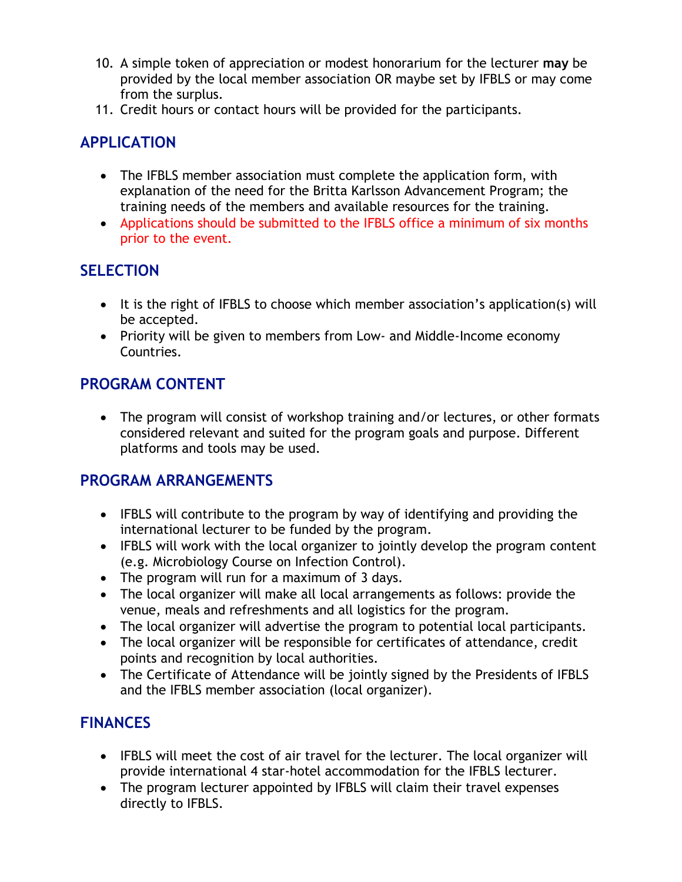- 10. A simple token of appreciation or modest honorarium for the lecturer **may** be provided by the local member association OR maybe set by IFBLS or may come from the surplus.
- 11. Credit hours or contact hours will be provided for the participants.

## **APPLICATION**

- The IFBLS member association must complete the application form, with explanation of the need for the Britta Karlsson Advancement Program; the training needs of the members and available resources for the training.
- Applications should be submitted to the IFBLS office a minimum of six months prior to the event.

## **SELECTION**

- It is the right of IFBLS to choose which member association's application(s) will be accepted.
- Priority will be given to members from Low- and Middle-Income economy Countries.

## **PROGRAM CONTENT**

 The program will consist of workshop training and/or lectures, or other formats considered relevant and suited for the program goals and purpose. Different platforms and tools may be used.

### **PROGRAM ARRANGEMENTS**

- IFBLS will contribute to the program by way of identifying and providing the international lecturer to be funded by the program.
- IFBLS will work with the local organizer to jointly develop the program content (e.g. Microbiology Course on Infection Control).
- The program will run for a maximum of 3 days.
- The local organizer will make all local arrangements as follows: provide the venue, meals and refreshments and all logistics for the program.
- The local organizer will advertise the program to potential local participants.
- The local organizer will be responsible for certificates of attendance, credit points and recognition by local authorities.
- The Certificate of Attendance will be jointly signed by the Presidents of IFBLS and the IFBLS member association (local organizer).

## **FINANCES**

- IFBLS will meet the cost of air travel for the lecturer. The local organizer will provide international 4 star-hotel accommodation for the IFBLS lecturer.
- The program lecturer appointed by IFBLS will claim their travel expenses directly to IFBLS.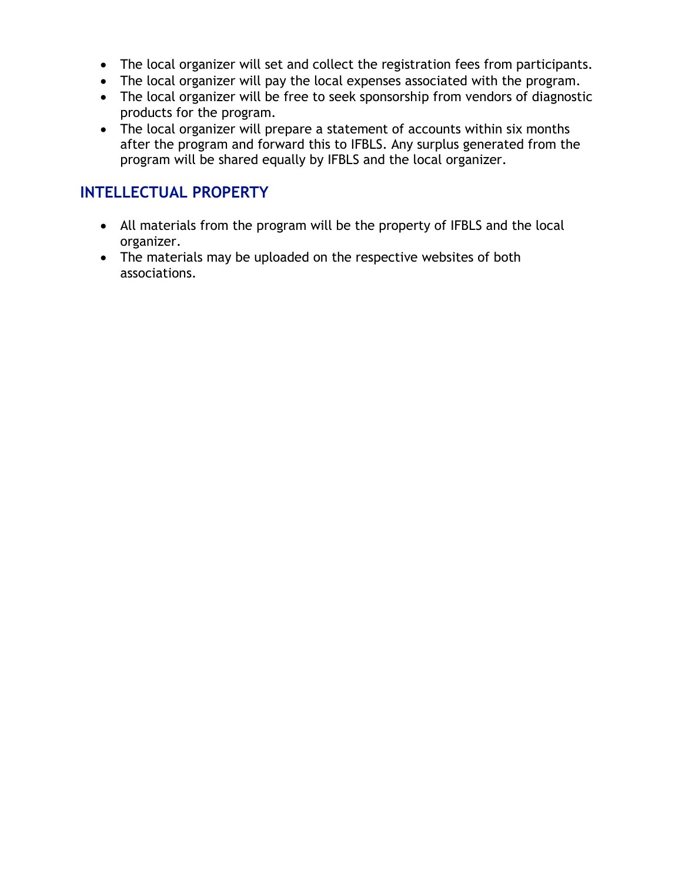- The local organizer will set and collect the registration fees from participants.
- The local organizer will pay the local expenses associated with the program.
- The local organizer will be free to seek sponsorship from vendors of diagnostic products for the program.
- The local organizer will prepare a statement of accounts within six months after the program and forward this to IFBLS. Any surplus generated from the program will be shared equally by IFBLS and the local organizer.

## **INTELLECTUAL PROPERTY**

- All materials from the program will be the property of IFBLS and the local organizer.
- The materials may be uploaded on the respective websites of both associations.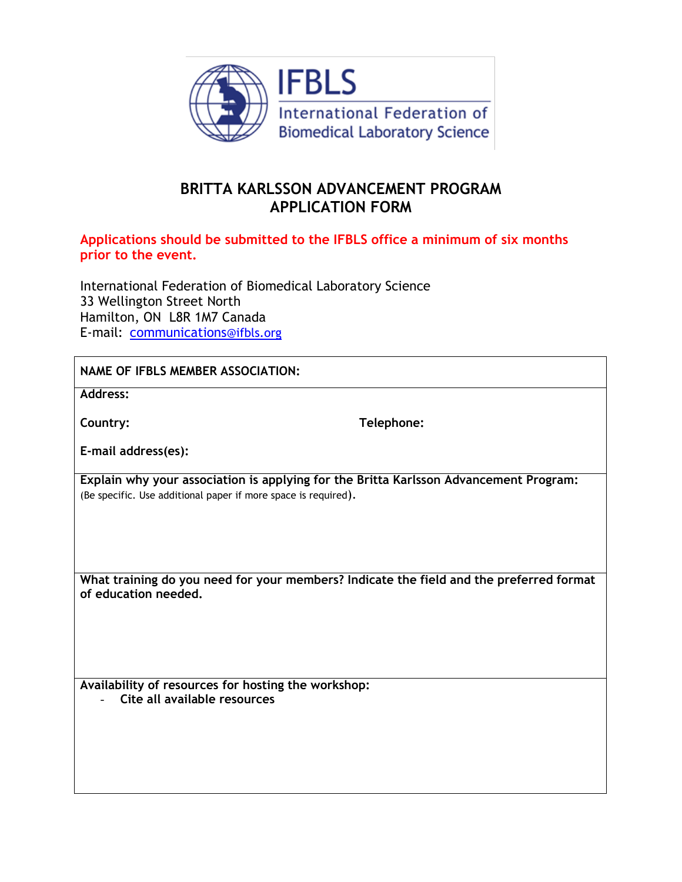

## **BRITTA KARLSSON ADVANCEMENT PROGRAM APPLICATION FORM**

#### **Applications should be submitted to the IFBLS office a minimum of six months prior to the event.**

International Federation of Biomedical Laboratory Science 33 Wellington Street North Hamilton, ON L8R 1M7 Canada E-mail: [communications](mailto:office@ifbls.org)@ifbls.org

**Address:** 

**Country: Telephone:**

**E-mail address(es):**

**Explain why your association is applying for the Britta Karlsson Advancement Program:** (Be specific. Use additional paper if more space is required).

**What training do you need for your members? Indicate the field and the preferred format of education needed.**

**Availability of resources for hosting the workshop:**

- **Cite all available resources**